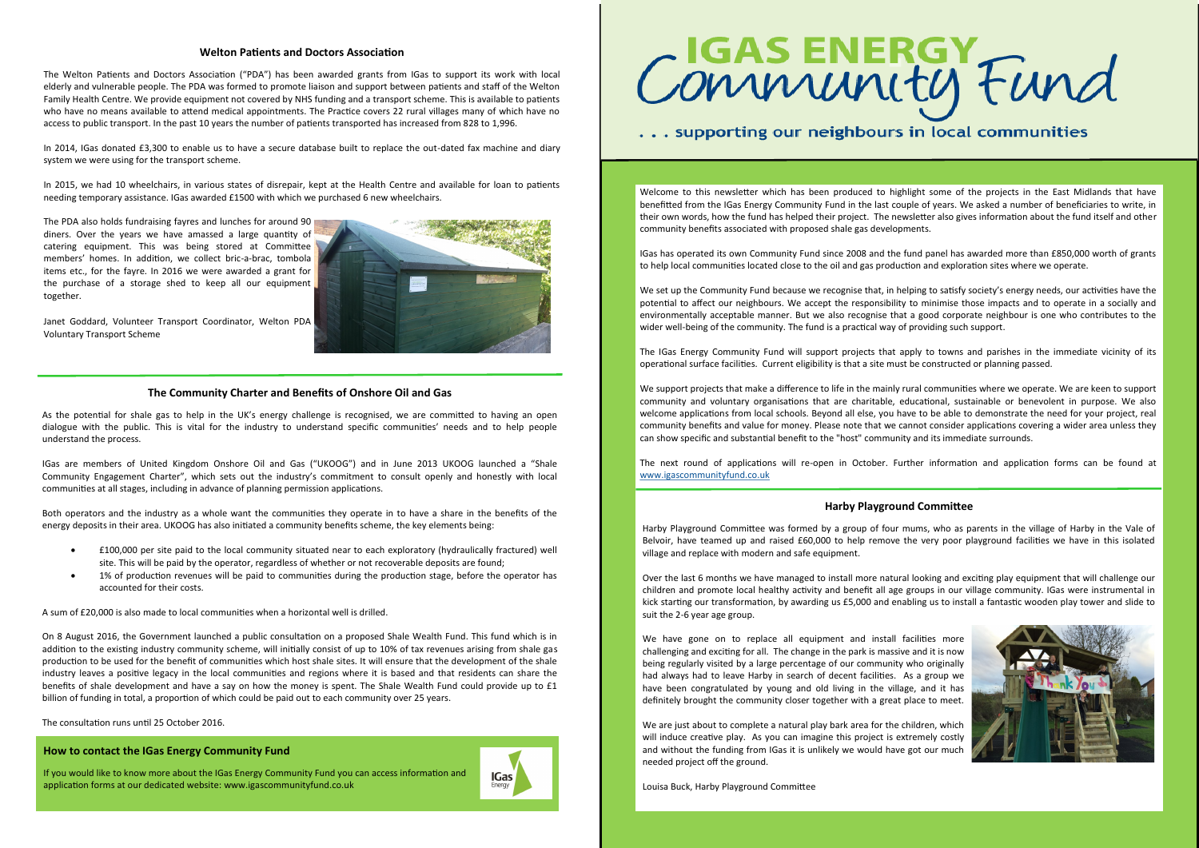# **How to contact the IGas Energy Community Fund**

If you would like to know more about the IGas Energy Community Fund you can access information and application forms at our dedicated website: www.igascommunityfund.co.uk



# Community Fund

# ... supporting our neighbours in local communities

### **The Community Charter and Benefits of Onshore Oil and Gas**

As the potential for shale gas to help in the UK's energy challenge is recognised, we are committed to having an open dialogue with the public. This is vital for the industry to understand specific communities' needs and to help people understand the process.

IGas are members of United Kingdom Onshore Oil and Gas ("UKOOG") and in June 2013 UKOOG launched a "Shale Community Engagement Charter", which sets out the industry's commitment to consult openly and honestly with local communities at all stages, including in advance of planning permission applications.

Both operators and the industry as a whole want the communities they operate in to have a share in the benefits of the energy deposits in their area. UKOOG has also initiated a community benefits scheme, the key elements being:

- £100,000 per site paid to the local community situated near to each exploratory (hydraulically fractured) well site. This will be paid by the operator, regardless of whether or not recoverable deposits are found;
- 1% of production revenues will be paid to communities during the production stage, before the operator has accounted for their costs.

A sum of £20,000 is also made to local communities when a horizontal well is drilled.

On 8 August 2016, the Government launched a public consultation on a proposed Shale Wealth Fund. This fund which is in addition to the existing industry community scheme, will initially consist of up to 10% of tax revenues arising from shale gas production to be used for the benefit of communities which host shale sites. It will ensure that the development of the shale industry leaves a positive legacy in the local communities and regions where it is based and that residents can share the benefits of shale development and have a say on how the money is spent. The Shale Wealth Fund could provide up to £1 billion of funding in total, a proportion of which could be paid out to each community over 25 years.

The consultation runs until 25 October 2016.

### **Welton Patients and Doctors Association**

We have gone on to replace all equipment and install facilities more challenging and exciting for all. The change in the park is massive and it is now being regularly visited by a large percentage of our community who originally had always had to leave Harby in search of decent facilities. As a group we have been congratulated by young and old living in the village, and it has definitely brought the community closer together with a great place to meet.

The Welton Patients and Doctors Association ("PDA") has been awarded grants from IGas to support its work with local elderly and vulnerable people. The PDA was formed to promote liaison and support between patients and staff of the Welton Family Health Centre. We provide equipment not covered by NHS funding and a transport scheme. This is available to patients who have no means available to attend medical appointments. The Practice covers 22 rural villages many of which have no access to public transport. In the past 10 years the number of patients transported has increased from 828 to 1,996.

In 2014, IGas donated £3,300 to enable us to have a secure database built to replace the out-dated fax machine and diary system we were using for the transport scheme.

> We set up the Community Fund because we recognise that, in helping to satisfy society's energy needs, our activities have the potential to affect our neighbours. We accept the responsibility to minimise those impacts and to operate in a socially and environmentally acceptable manner. But we also recognise that a good corporate neighbour is one who contributes to the wider well-being of the community. The fund is a practical way of providing such support.

In 2015, we had 10 wheelchairs, in various states of disrepair, kept at the Health Centre and available for loan to patients needing temporary assistance. IGas awarded £1500 with which we purchased 6 new wheelchairs.

The PDA also holds fundraising fayres and lunches for around 90 diners. Over the years we have amassed a large quantity of catering equipment. This was being stored at Committee members' homes. In addition, we collect bric-a-brac, tombola items etc., for the fayre. In 2016 we were awarded a grant for the purchase of a storage shed to keep all our equipment together.



Janet Goddard, Volunteer Transport Coordinator, Welton PDA Voluntary Transport Scheme

# **Harby Playground Committee**

Harby Playground Committee was formed by a group of four mums, who as parents in the village of Harby in the Vale of Belvoir, have teamed up and raised £60,000 to help remove the very poor playground facilities we have in this isolated village and replace with modern and safe equipment.

Over the last 6 months we have managed to install more natural looking and exciting play equipment that will challenge our children and promote local healthy activity and benefit all age groups in our village community. IGas were instrumental in kick starting our transformation, by awarding us £5,000 and enabling us to install a fantastic wooden play tower and slide to suit the 2-6 year age group.

We are just about to complete a natural play bark area for the children, which will induce creative play. As you can imagine this project is extremely costly and without the funding from IGas it is unlikely we would have got our much needed project off the ground.

Louisa Buck, Harby Playground Committee



Welcome to this newsletter which has been produced to highlight some of the projects in the East Midlands that have benefitted from the IGas Energy Community Fund in the last couple of years. We asked a number of beneficiaries to write, in their own words, how the fund has helped their project. The newsletter also gives information about the fund itself and other community benefits associated with proposed shale gas developments.

IGas has operated its own Community Fund since 2008 and the fund panel has awarded more than £850,000 worth of grants to help local communities located close to the oil and gas production and exploration sites where we operate.

The IGas Energy Community Fund will support projects that apply to towns and parishes in the immediate vicinity of its operational surface facilities. Current eligibility is that a site must be constructed or planning passed.

We support projects that make a difference to life in the mainly rural communities where we operate. We are keen to support community and voluntary organisations that are charitable, educational, sustainable or benevolent in purpose. We also welcome applications from local schools. Beyond all else, you have to be able to demonstrate the need for your project, real community benefits and value for money. Please note that we cannot consider applications covering a wider area unless they can show specific and substantial benefit to the "host" community and its immediate surrounds.

The next round of applications will re-open in October. Further information and application forms can be found at [www.igascommunityfund.co.uk](http://www.igascommunityfund.co.uk)